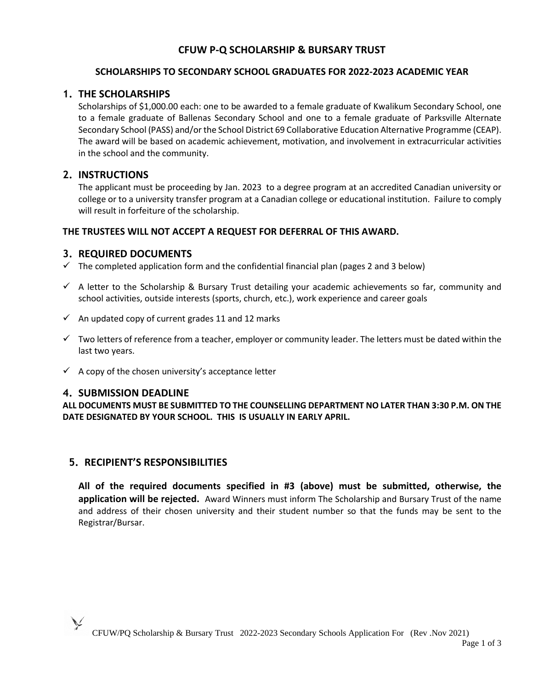# **CFUW P-Q SCHOLARSHIP & BURSARY TRUST**

## **SCHOLARSHIPS TO SECONDARY SCHOOL GRADUATES FOR 2022-2023 ACADEMIC YEAR**

# **1. THE SCHOLARSHIPS**

Scholarships of \$1,000.00 each: one to be awarded to a female graduate of Kwalikum Secondary School, one to a female graduate of Ballenas Secondary School and one to a female graduate of Parksville Alternate Secondary School (PASS) and/or the School District 69 Collaborative Education Alternative Programme (CEAP). The award will be based on academic achievement, motivation, and involvement in extracurricular activities in the school and the community.

# **2. INSTRUCTIONS**

 The applicant must be proceeding by Jan. 2023 to a degree program at an accredited Canadian university or college or to a university transfer program at a Canadian college or educational institution. Failure to comply will result in forfeiture of the scholarship.

# **THE TRUSTEES WILL NOT ACCEPT A REQUEST FOR DEFERRAL OF THIS AWARD.**

# **3. REQUIRED DOCUMENTS**

- $\checkmark$  The completed application form and the confidential financial plan (pages 2 and 3 below)
- $\checkmark$  A letter to the Scholarship & Bursary Trust detailing your academic achievements so far, community and school activities, outside interests (sports, church, etc.), work experience and career goals
- $\checkmark$  An updated copy of current grades 11 and 12 marks
- ✓ Two letters of reference from a teacher, employer or community leader. The letters must be dated within the last two years.
- $\checkmark$  A copy of the chosen university's acceptance letter

# **4. SUBMISSION DEADLINE**

**ALL DOCUMENTS MUST BE SUBMITTED TO THE COUNSELLING DEPARTMENT NO LATER THAN 3:30 P.M. ON THE DATE DESIGNATED BY YOUR SCHOOL. THIS IS USUALLY IN EARLY APRIL.**

# **5. RECIPIENT'S RESPONSIBILITIES**

**All of the required documents specified in #3 (above) must be submitted, otherwise, the application will be rejected.** Award Winners must inform The Scholarship and Bursary Trust of the name and address of their chosen university and their student number so that the funds may be sent to the Registrar/Bursar.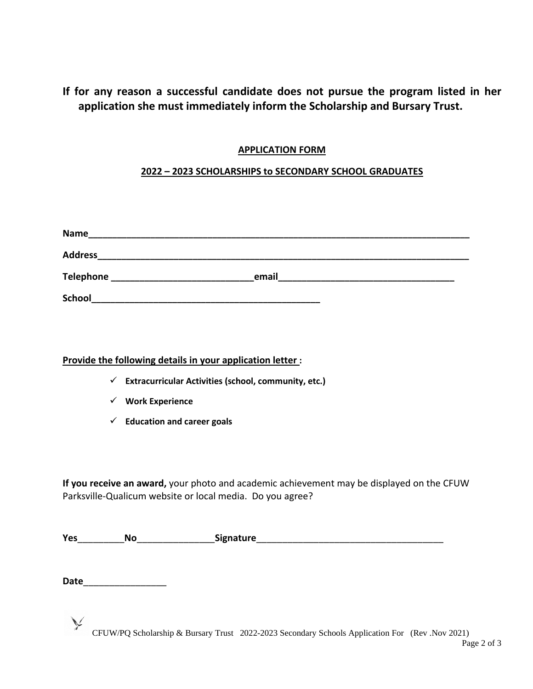# **If for any reason a successful candidate does not pursue the program listed in her application she must immediately inform the Scholarship and Bursary Trust.**

# **APPLICATION FORM**

# **2022 – 2023 SCHOLARSHIPS to SECONDARY SCHOOL GRADUATES**

| <b>Name</b>    |       |
|----------------|-------|
| <b>Address</b> |       |
| Telephone      | email |
| <b>School</b>  |       |

# **Provide the following details in your application letter :**

- ✓ **Extracurricular Activities (school, community, etc.)**
- ✓ **Work Experience**
- ✓ **Education and career goals**

**If you receive an award,** your photo and academic achievement may be displayed on the CFUW Parksville-Qualicum website or local media. Do you agree?

| Ye: | .<br>. . |  |
|-----|----------|--|
|     |          |  |

**Date**\_\_\_\_\_\_\_\_\_\_\_\_\_\_\_\_

CFUW/PQ Scholarship & Bursary Trust 2022-2023 Secondary Schools Application For (Rev .Nov 2021)